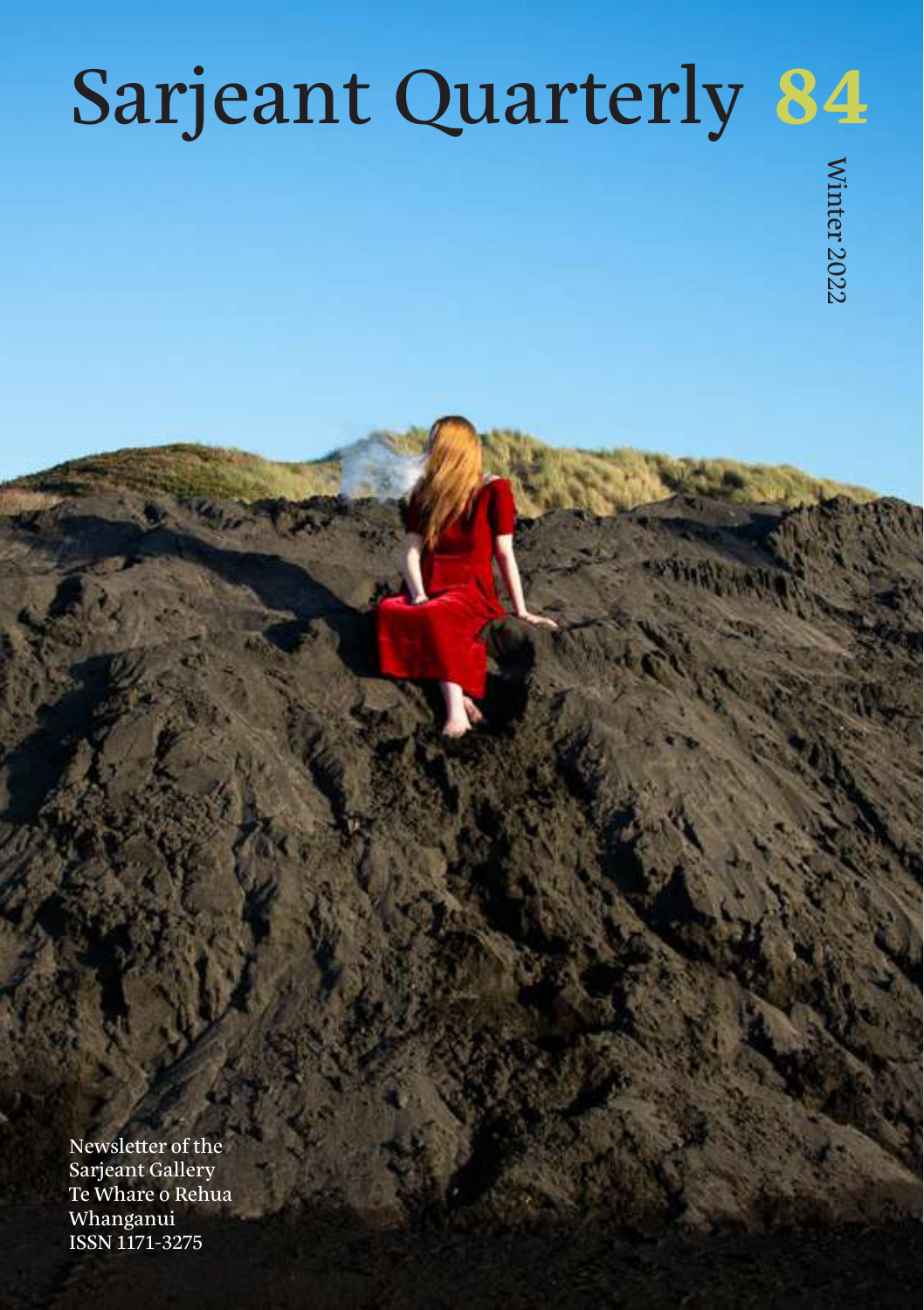# Sarjeant Quarterly **84**

Newsletter of the Sarjeant Gallery Te Whare o Rehua Whanganui ISSN 1171-3275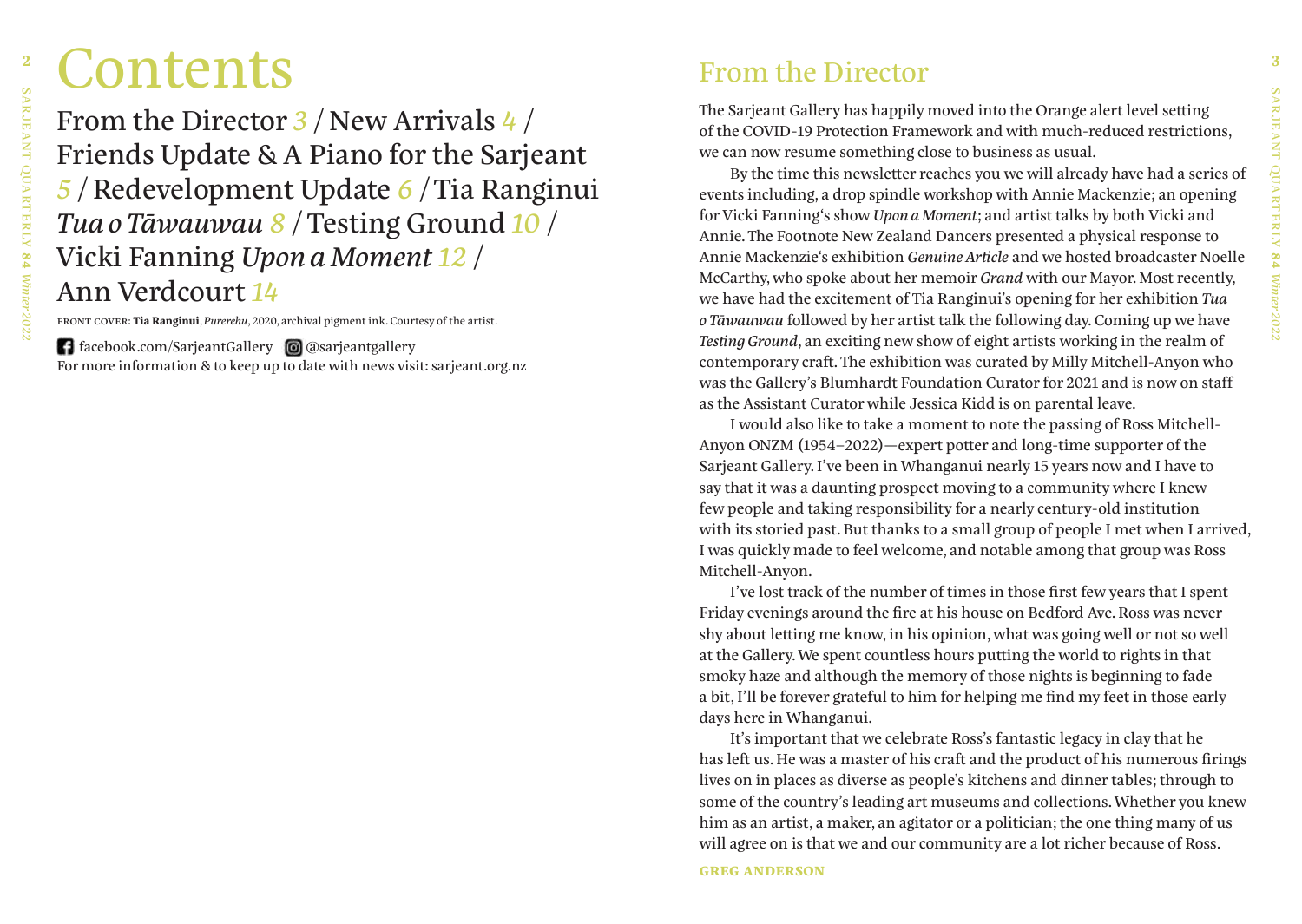# <sup>2</sup> **Contents Example 19 From the Director 2**

From the Director *3* / New Arrivals *4* / Friends Update & A Piano for the Sarjeant *5* / Redevelopment Update *6* / Tia Ranginui *Tua o Tāwauwau 8* / Testing Ground *10* / Vicki Fanning *Upon a Moment 12* / Ann Verdcourt *14*

front cover: **Tia Ranginui**, *Purerehu*, 2020, archival pigment ink. Courtesy of the artist.

**f** facebook.com/SarjeantGallery  $\Box$  @sarjeantgallery For more information & to keep up to date with news visit: sarjeant.org.nz

## From the Director

The Sarjeant Gallery has happily moved into the Orange alert level setting of the COVID-19 Protection Framework and with much-reduced restrictions, we can now resume something close to business as usual.

By the time this newsletter reaches you we will already have had a series of events including, a drop spindle workshop with Annie Mackenzie; an opening for Vicki Fanning's show *Upon a Moment*; and artist talks by both Vicki and Annie. The Footnote New Zealand Dancers presented a physical response to Annie Mackenzie's exhibition *Genuine Article* and we hosted broadcaster Noelle McCarthy, who spoke about her memoir *Grand* with our Mayor. Most recently, we have had the excitement of Tia Ranginui's opening for her exhibition *Tua o Tāwauwau* followed by her artist talk the following day. Coming up we have *Testing Ground*, an exciting new show of eight artists working in the realm of contemporary craft. The exhibition was curated by Milly Mitchell-Anyon who was the Gallery's Blumhardt Foundation Curator for 2021 and is now on staff as the Assistant Curator while Jessica Kidd is on parental leave.

I would also like to take a moment to note the passing of Ross Mitchell-Anyon ONZM (1954–2022)—expert potter and long-time supporter of the Sarjeant Gallery. I've been in Whanganui nearly 15 years now and I have to say that it was a daunting prospect moving to a community where I knew few people and taking responsibility for a nearly century-old institution with its storied past. But thanks to a small group of people I met when I arrived, I was quickly made to feel welcome, and notable among that group was Ross Mitchell-Anyon.

I've lost track of the number of times in those first few years that I spent Friday evenings around the fire at his house on Bedford Ave. Ross was never shy about letting me know, in his opinion, what was going well or not so well at the Gallery. We spent countless hours putting the world to rights in that smoky haze and although the memory of those nights is beginning to fade a bit, I'll be forever grateful to him for helping me find my feet in those early days here in Whanganui.

It's important that we celebrate Ross's fantastic legacy in clay that he has left us. He was a master of his craft and the product of his numerous firings lives on in places as diverse as people's kitchens and dinner tables; through to some of the country's leading art museums and collections. Whether you knew him as an artist, a maker, an agitator or a politician; the one thing many of us will agree on is that we and our community are a lot richer because of Ross.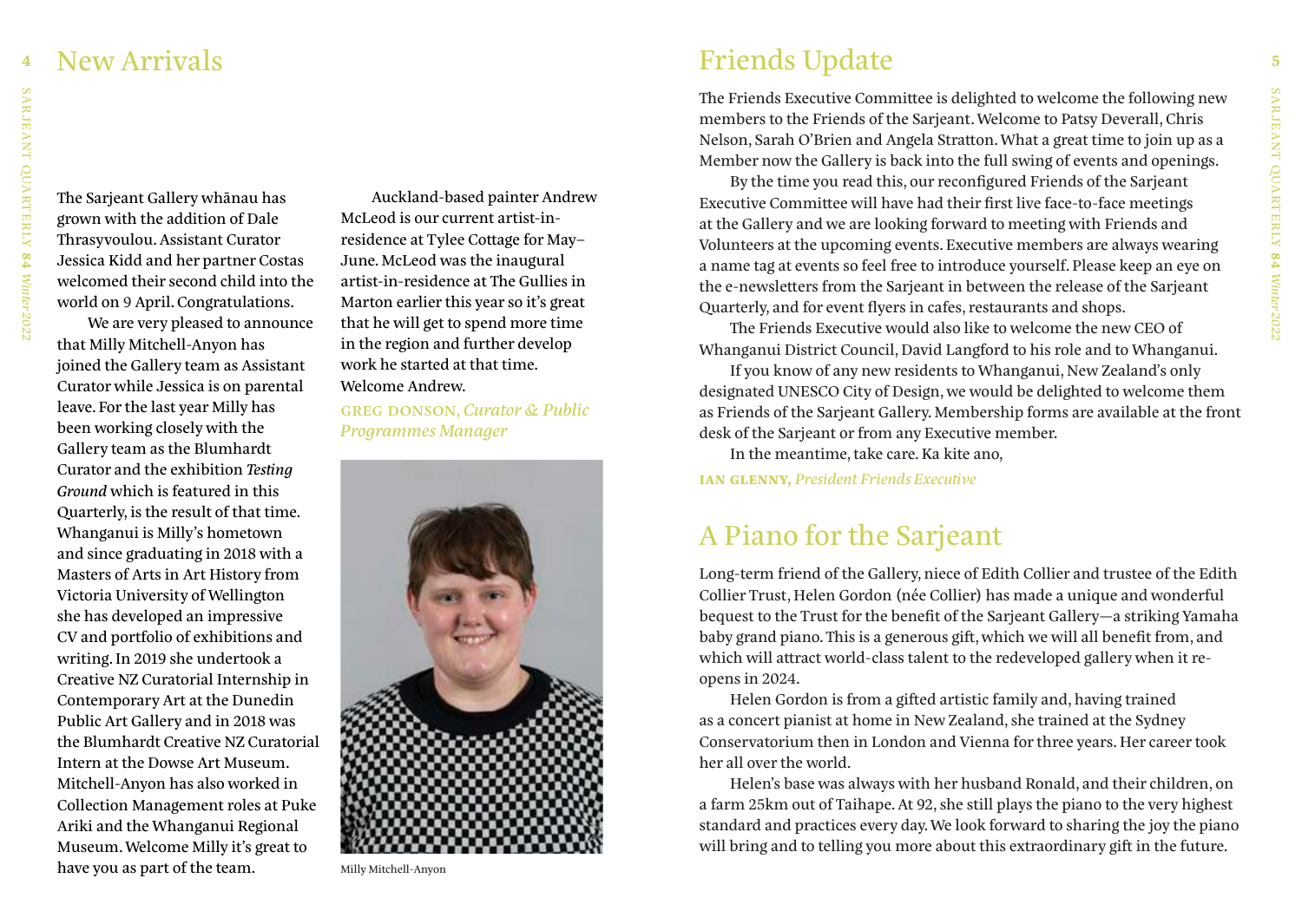### New Arrivals

The Sarjeant Gallery whānau has grown with the addition of Dale Thrasyvoulou. Assistant Curator Jessica Kidd and her partner Costas welcomed their second child into the world on 9 April. Congratulations.

We are very pleased to announce that Milly Mitchell-Anyon has joined the Gallery team as Assistant Curator while Jessica is on parental leave. For the last year Milly has been working closely with the Gallery team as the Blumhardt Curator and the exhibition *Testing Ground* which is featured in this Quarterly, is the result of that time. Whanganui is Milly's hometown and since graduating in 2018 with a Masters of Arts in Art History from Victoria University of Wellington she has developed an impressive CV and portfolio of exhibitions and writing. In 2019 she undertook a Creative NZ Curatorial Internship in Contemporary Art at the Dunedin Public Art Gallery and in 2018 was the Blumhardt Creative NZ Curatorial Intern at the Dowse Art Museum. Mitchell-Anyon has also worked in Collection Management roles at Puke Ariki and the Whanganui Regional Museum. Welcome Milly it's great to have you as part of the team.

Auckland-based painter Andrew McLeod is our current artist-inresidence at Tylee Cottage for May– June. McLeod was the inaugural artist-in-residence at The Gullies in Marton earlier this year so it's great that he will get to spend more time in the region and further develop work he started at that time. Welcome Andrew.

greg donson, *Curator & Public Programmes Manager*



Milly Mitchell-Anyon

## **4 5**Friends Update

The Friends Executive Committee is delighted to welcome the following new members to the Friends of the Sarjeant. Welcome to Patsy Deverall, Chris Nelson, Sarah O'Brien and Angela Stratton. What a great time to join up as a Member now the Gallery is back into the full swing of events and openings.

By the time you read this, our reconfigured Friends of the Sarjeant Executive Committee will have had their first live face-to-face meetings at the Gallery and we are looking forward to meeting with Friends and Volunteers at the upcoming events. Executive members are always wearing a name tag at events so feel free to introduce yourself. Please keep an eye on the e-newsletters from the Sarjeant in between the release of the Sarjeant Quarterly, and for event flyers in cafes, restaurants and shops.

The Friends Executive would also like to welcome the new CEO of Whanganui District Council, David Langford to his role and to Whanganui.

If you know of any new residents to Whanganui, New Zealand's only designated UNESCO City of Design, we would be delighted to welcome them as Friends of the Sarjeant Gallery. Membership forms are available at the front desk of the Sarjeant or from any Executive member.

In the meantime, take care. Ka kite ano,

**ian glenny,** *President Friends Executive*

## A Piano for the Sarjeant

Long-term friend of the Gallery, niece of Edith Collier and trustee of the Edith Collier Trust, Helen Gordon (née Collier) has made a unique and wonderful bequest to the Trust for the benefit of the Sarjeant Gallery—a striking Yamaha baby grand piano. This is a generous gift, which we will all benefit from, and which will attract world-class talent to the redeveloped gallery when it reopens in 2024.

Helen Gordon is from a gifted artistic family and, having trained as a concert pianist at home in New Zealand, she trained at the Sydney Conservatorium then in London and Vienna for three years. Her career took her all over the world.

Helen's base was always with her husband Ronald, and their children, on a farm 25km out of Taihape. At 92, she still plays the piano to the very highest standard and practices every day. We look forward to sharing the joy the piano will bring and to telling you more about this extraordinary gift in the future.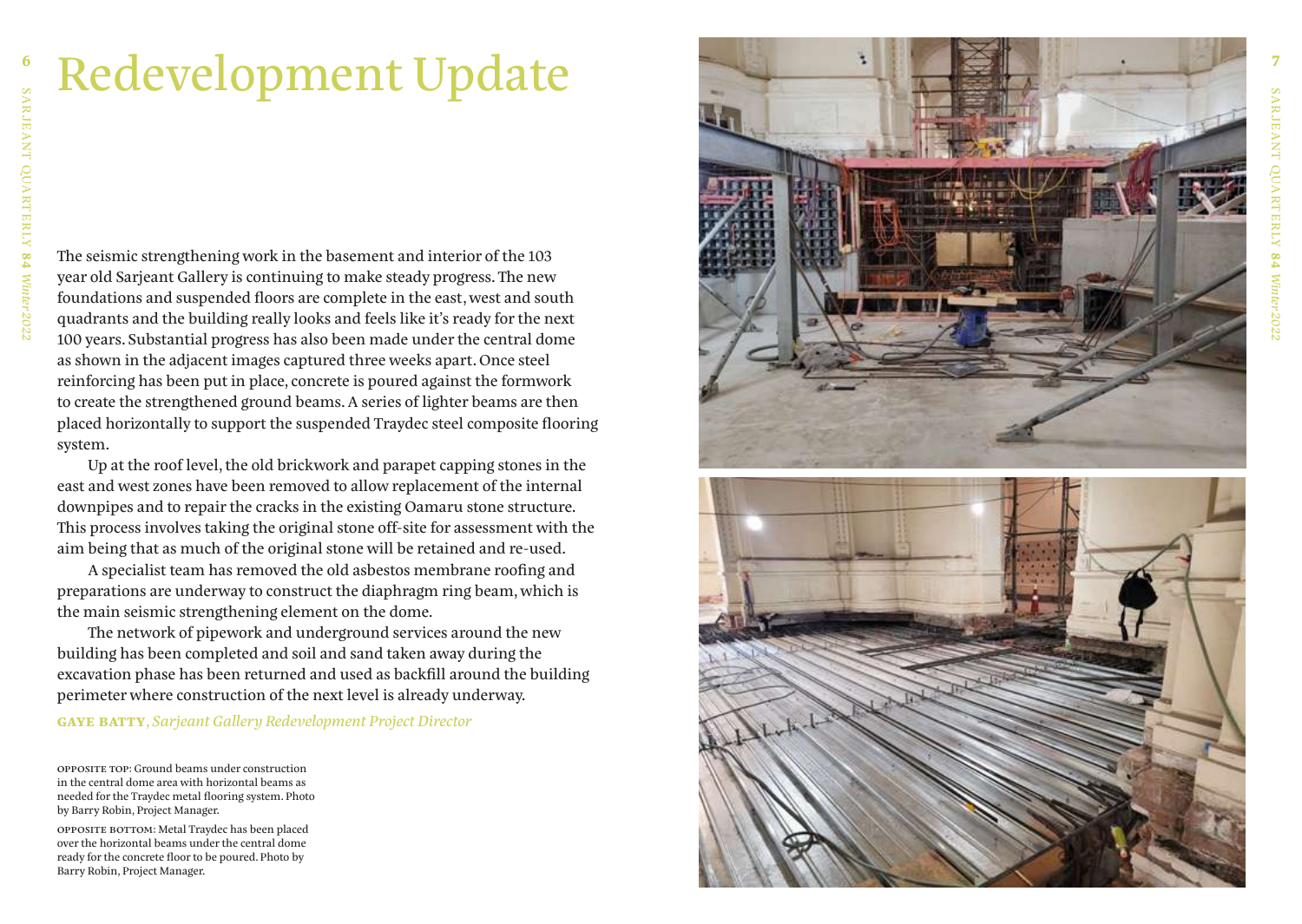## Redevelopment Update

The seismic strengthening work in the basement and interior of the 103 year old Sarjeant Gallery is continuing to make steady progress. The new foundations and suspended floors are complete in the east, west and south quadrants and the building really looks and feels like it's ready for the next 100 years. Substantial progress has also been made under the central dome as shown in the adjacent images captured three weeks apart. Once steel reinforcing has been put in place, concrete is poured against the formwork to create the strengthened ground beams. A series of lighter beams are then placed horizontally to support the suspended Traydec steel composite flooring system.

Up at the roof level, the old brickwork and parapet capping stones in the east and west zones have been removed to allow replacement of the internal downpipes and to repair the cracks in the existing Oamaru stone structure. This process involves taking the original stone off-site for assessment with the aim being that as much of the original stone will be retained and re-used.

A specialist team has removed the old asbestos membrane roofing and preparations are underway to construct the diaphragm ring beam, which is the main seismic strengthening element on the dome.

The network of pipework and underground services around the new building has been completed and soil and sand taken away during the excavation phase has been returned and used as backfill around the building perimeter where construction of the next level is already underway.

**gaye batty**, *Sarjeant Gallery Redevelopment Project Director*

opposite top: Ground beams under construction in the central dome area with horizontal beams as needed for the Traydec metal flooring system. Photo by Barry Robin, Project Manager.

opposite bottom: Metal Traydec has been placed over the horizontal beams under the central dome ready for the concrete floor to be poured. Photo by Barry Robin, Project Manager.

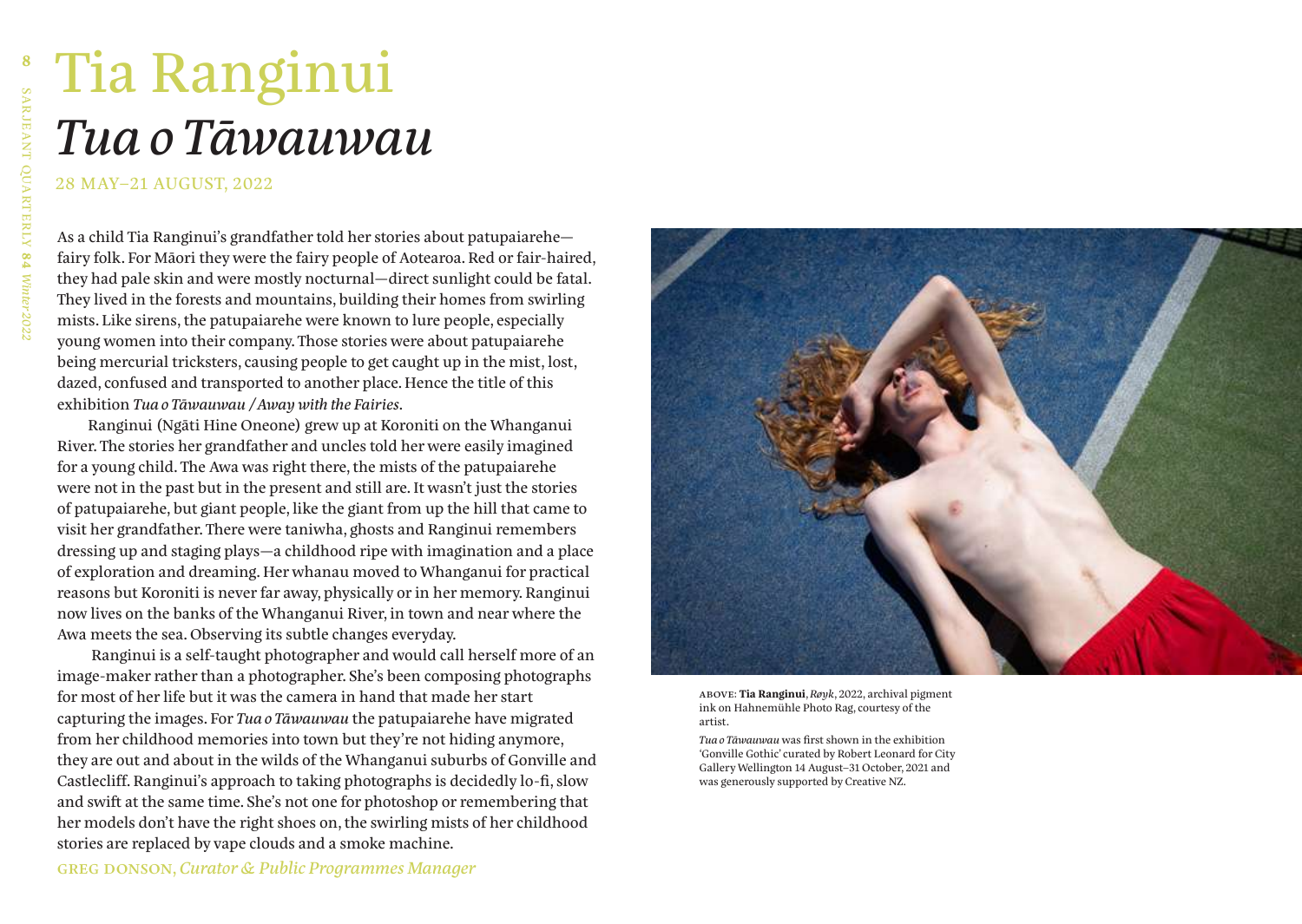## Tia Ranginui *Tua o Tāwauwau*

28 MAY–21 AUGUST, 2022

As a child Tia Ranginui's grandfather told her stories about patupaiarehe fairy folk. For Māori they were the fairy people of Aotearoa. Red or fair-haired, they had pale skin and were mostly nocturnal—direct sunlight could be fatal. They lived in the forests and mountains, building their homes from swirling mists. Like sirens, the patupaiarehe were known to lure people, especially young women into their company. Those stories were about patupaiarehe being mercurial tricksters, causing people to get caught up in the mist, lost, dazed, confused and transported to another place. Hence the title of this exhibition *Tua o Tāwauwau / Away with the Fairies*.

Ranginui (Ngāti Hine Oneone) grew up at Koroniti on the Whanganui River. The stories her grandfather and uncles told her were easily imagined for a young child. The Awa was right there, the mists of the patupaiarehe were not in the past but in the present and still are. It wasn't just the stories of patupaiarehe, but giant people, like the giant from up the hill that came to visit her grandfather. There were taniwha, ghosts and Ranginui remembers dressing up and staging plays—a childhood ripe with imagination and a place of exploration and dreaming. Her whanau moved to Whanganui for practical reasons but Koroniti is never far away, physically or in her memory. Ranginui now lives on the banks of the Whanganui River, in town and near where the Awa meets the sea. Observing its subtle changes everyday.

 Ranginui is a self-taught photographer and would call herself more of an image-maker rather than a photographer. She's been composing photographs for most of her life but it was the camera in hand that made her start capturing the images. For *Tua o Tāwauwau* the patupaiarehe have migrated from her childhood memories into town but they're not hiding anymore, they are out and about in the wilds of the Whanganui suburbs of Gonville and Castlecliff. Ranginui's approach to taking photographs is decidedly lo-fi, slow and swift at the same time. She's not one for photoshop or remembering that her models don't have the right shoes on, the swirling mists of her childhood stories are replaced by vape clouds and a smoke machine.



above: **Tia Ranginui**, *Røyk*, 2022, archival pigment ink on Hahnemühle Photo Rag, courtesy of the artist.

*Tua o Tāwauwau* was first shown in the exhibition 'Gonville Gothic' curated by Robert Leonard for City Gallery Wellington 14 August–31 October, 2021 and was generously supported by Creative NZ.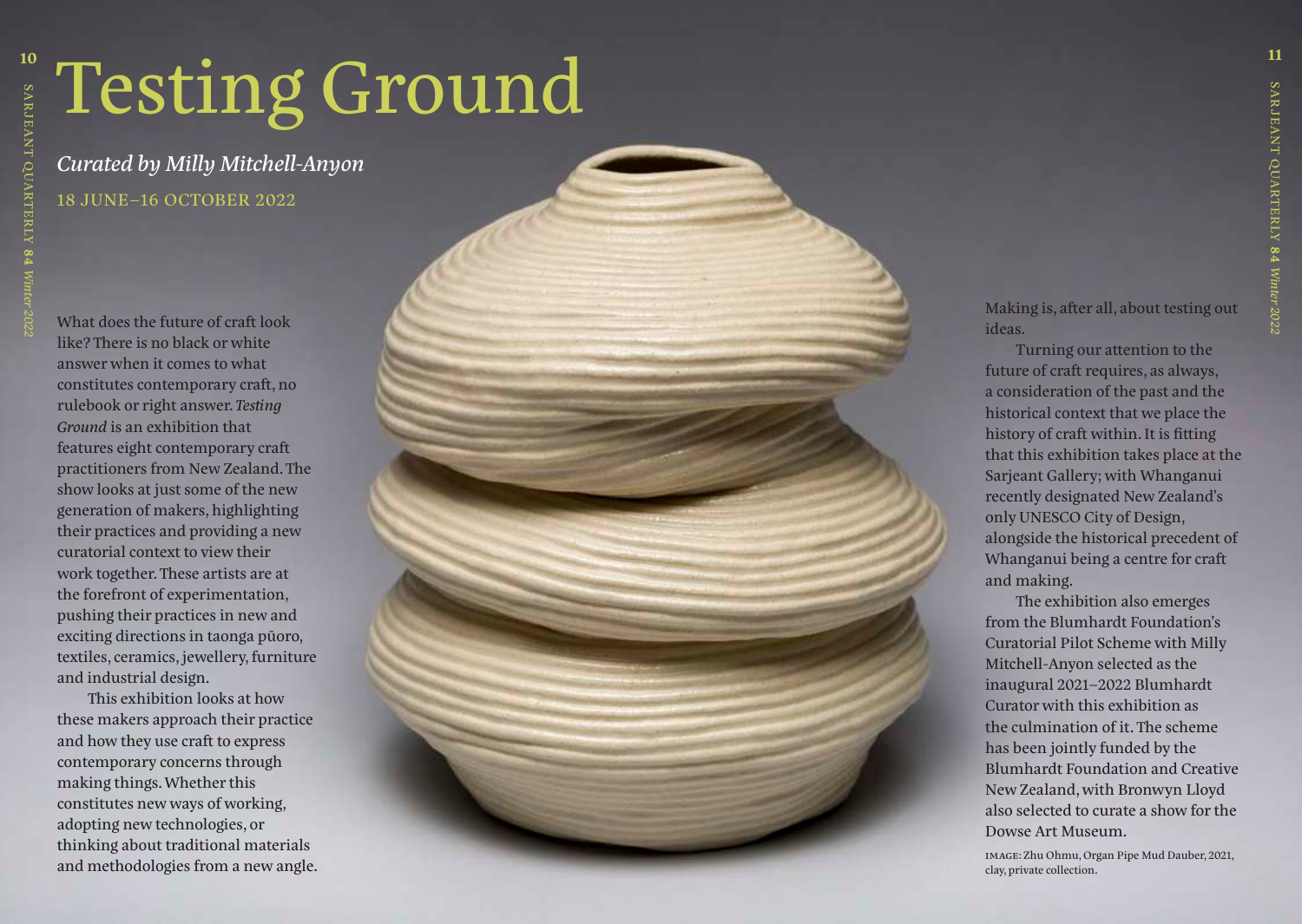# Testing Ground

*Curated by Milly Mitchell-Anyon* 18 JUNE–16 OCTOBER 2022

What does the future of craft look like? There is no black or white answer when it comes to what constitutes contemporary craft, no rulebook or right answer. *Testing Ground* is an exhibition that features eight contemporary craft practitioners from New Zealand. The show looks at just some of the new generation of makers, highlighting their practices and providing a new curatorial context to view their work together. These artists are at the forefront of experimentation, pushing their practices in new and exciting directions in taonga p ūoro, textiles, ceramics, jewellery, furniture and industrial design.

This exhibition looks at how these makers approach their practice and how they use craft to express contemporary concerns through making things. Whether this constitutes new ways of working, adopting new technologies, or thinking about traditional materials and methodologies from a new angle. Making is, after all, about testing out ideas.

Turning our attention to the future of craft requires, as always, a consideration of the past and the historical context that we place the history of craft within. It is fitting that this exhibition takes place at the Sarjeant Gallery; with Whanganui recently designated New Zealand's only UNESCO City of Design, alongside the historical precedent of Whanganui being a centre for craft and making.

The exhibition also emerges from the Blumhardt Foundation's Curatorial Pilot Scheme with Milly Mitchell-Anyon selected as the inaugural 2021–2022 Blumhardt Curator with this exhibition as the culmination of it. The scheme has been jointly funded by the Blumhardt Foundation and Creative New Zealand, with Bronwyn Lloyd also selected to curate a show for the Dowse Art Museum.

image: Zhu Ohmu, Organ Pipe Mud Dauber, 2021, clay, private collection.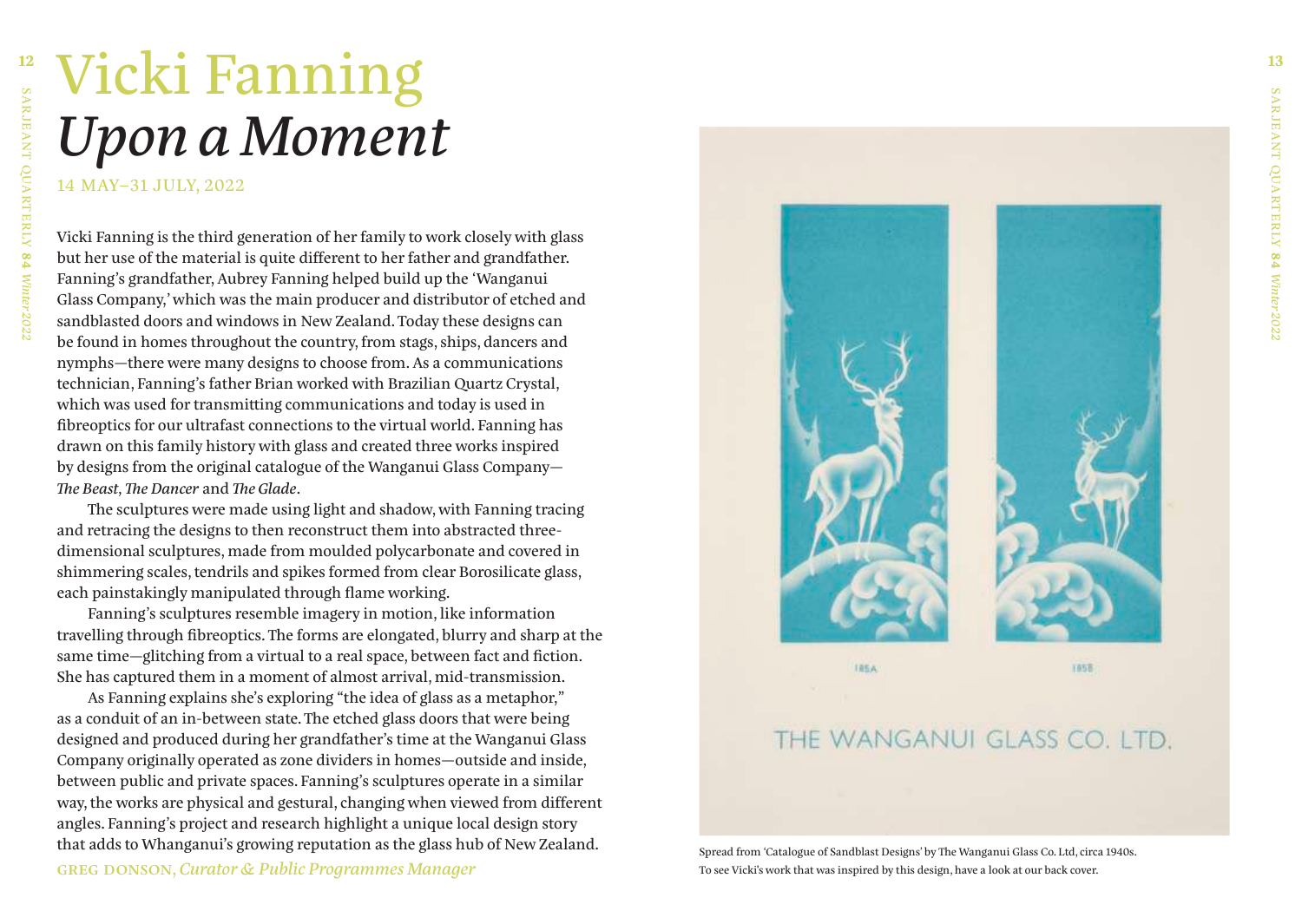## **12 13**Vicki Fanning *Upon a Moment*

14 MAY–31 JULY, 2022

Vicki Fanning is the third generation of her family to work closely with glass but her use of the material is quite different to her father and grandfather. Fanning's grandfather, Aubrey Fanning helped build up the 'Wanganui Glass Company,' which was the main producer and distributor of etched and sandblasted doors and windows in New Zealand. Today these designs can be found in homes throughout the country, from stags, ships, dancers and nymphs—there were many designs to choose from. As a communications technician, Fanning's father Brian worked with Brazilian Quartz Crystal, which was used for transmitting communications and today is used in fibreoptics for our ultrafast connections to the virtual world. Fanning has drawn on this family history with glass and created three works inspired by designs from the original catalogue of the Wanganui Glass Company— *The Beast, The Dancer* and *The Glade*.

The sculptures were made using light and shadow, with Fanning tracing and retracing the designs to then reconstruct them into abstracted threedimensional sculptures, made from moulded polycarbonate and covered in shimmering scales, tendrils and spikes formed from clear Borosilicate glass, each painstakingly manipulated through flame working.

Fanning's sculptures resemble imagery in motion, like information travelling through fibreoptics. The forms are elongated, blurry and sharp at the same time—glitching from a virtual to a real space, between fact and fiction. She has captured them in a moment of almost arrival, mid-transmission.

As Fanning explains she's exploring "the idea of glass as a metaphor," as a conduit of an in-between state. The etched glass doors that were being designed and produced during her grandfather's time at the Wanganui Glass Company originally operated as zone dividers in homes—outside and inside, between public and private spaces. Fanning's sculptures operate in a similar way, the works are physical and gestural, changing when viewed from different angles. Fanning's project and research highlight a unique local design story that adds to Whanganui's growing reputation as the glass hub of New Zealand. greg donson, *Curator & Public Programmes Manager*



### THE WANGANUI GLASS CO. LTD.

Spread from 'Catalogue of Sandblast Designs' by The Wanganui Glass Co. Ltd, circa 1940s. To see Vicki's work that was inspired by this design, have a look at our back cover.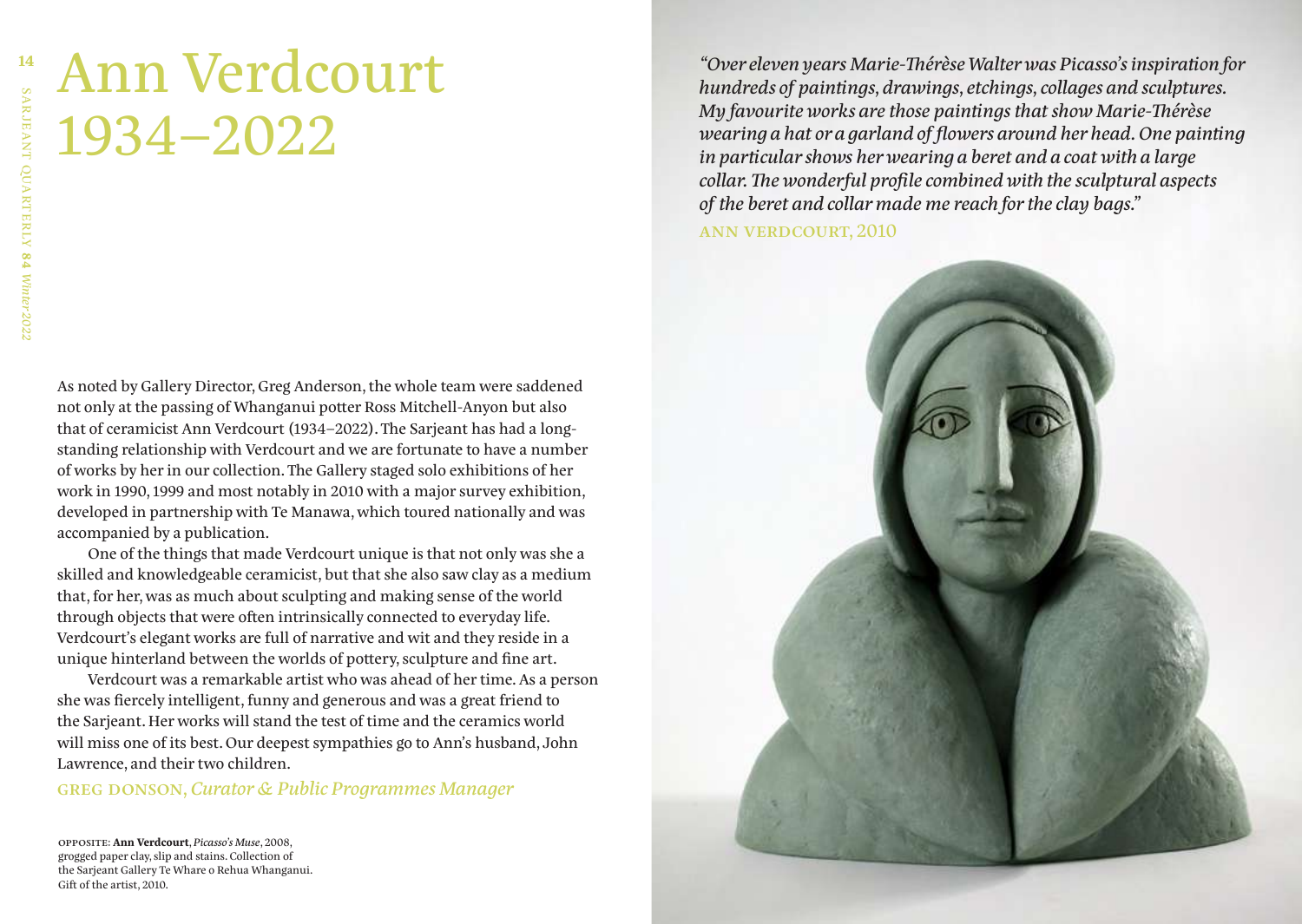## Ann Verdcourt 1934–2022

As noted by Gallery Director, Greg Anderson, the whole team were saddened not only at the passing of Whanganui potter Ross Mitchell-Anyon but also that of ceramicist Ann Verdcourt (1934–2022). The Sarjeant has had a longstanding relationship with Verdcourt and we are fortunate to have a number of works by her in our collection. The Gallery staged solo exhibitions of her work in 1990, 1999 and most notably in 2010 with a major survey exhibition, developed in partnership with Te Manawa, which toured nationally and was accompanied by a publication.

One of the things that made Verdcourt unique is that not only was she a skilled and knowledgeable ceramicist, but that she also saw clay as a medium that, for her, was as much about sculpting and making sense of the world through objects that were often intrinsically connected to everyday life. Verdcourt's elegant works are full of narrative and wit and they reside in a unique hinterland between the worlds of pottery, sculpture and fine art.

Verdcourt was a remarkable artist who was ahead of her time. As a person she was fiercely intelligent, funny and generous and was a great friend to the Sarjeant. Her works will stand the test of time and the ceramics world will miss one of its best. Our deepest sympathies go to Ann's husband, John Lawrence, and their two children.

#### greg donson, *Curator & Public Programmes Manager*

opposite: **Ann Verdcourt**, *Picasso's Muse*, 2008, grogged paper clay, slip and stains. Collection of the Sarjeant Gallery Te Whare o Rehua Whanganui. Gift of the artist, 2010.

*"Over eleven years Marie-Thérèse Walter was Picasso's inspiration for hundreds of paintings, drawings, etchings, collages and sculptures. My favourite works are those paintings that show Marie-Thérèse wearing a hat or a garland of flowers around her head. One painting in particular shows her wearing a beret and a coat with a large collar. The wonderful profile combined with the sculptural aspects of the beret and collar made me reach for the clay bags."* ann verdcourt, 2010